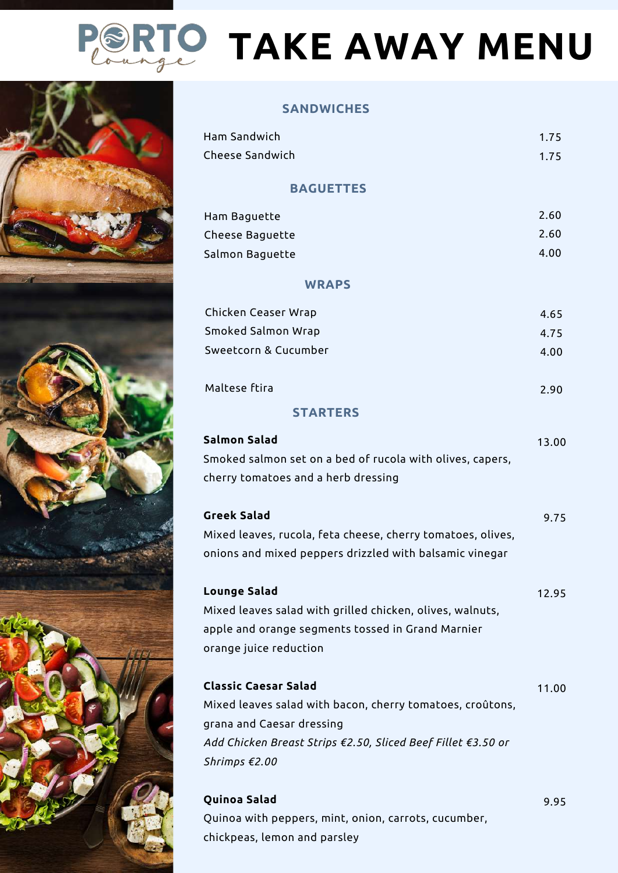### **TAKE AWAY MENU**



#### **SANDWICHES**

| Ham Sandwich                                                                  | 1.75  |
|-------------------------------------------------------------------------------|-------|
| Cheese Sandwich                                                               | 1.75  |
| <b>BAGUETTES</b>                                                              |       |
| Ham Baguette                                                                  | 2.60  |
| <b>Cheese Baguette</b>                                                        | 2.60  |
| Salmon Baguette                                                               | 4.00  |
| <b>WRAPS</b>                                                                  |       |
| Chicken Ceaser Wrap                                                           | 4.65  |
| Smoked Salmon Wrap                                                            | 4.75  |
| Sweetcorn & Cucumber                                                          | 4.00  |
| Maltese ftira                                                                 | 2.90  |
| <b>STARTERS</b>                                                               |       |
|                                                                               |       |
| <b>Salmon Salad</b>                                                           | 13.00 |
| Smoked salmon set on a bed of rucola with olives, capers,                     |       |
| cherry tomatoes and a herb dressing                                           |       |
| <b>Greek Salad</b>                                                            | 9.75  |
| Mixed leaves, rucola, feta cheese, cherry tomatoes, olives,                   |       |
| onions and mixed peppers drizzled with balsamic vinegar                       |       |
| Lounge Salad                                                                  | 12.95 |
| Mixed leaves salad with grilled chicken, olives, walnuts,                     |       |
| apple and orange segments tossed in Grand Marnier                             |       |
| orange juice reduction                                                        |       |
| <b>Classic Caesar Salad</b>                                                   | 11.00 |
| Mixed leaves salad with bacon, cherry tomatoes, croûtons,                     |       |
| grana and Caesar dressing                                                     |       |
| Add Chicken Breast Strips €2.50, Sliced Beef Fillet €3.50 or<br>Shrimps €2.00 |       |
|                                                                               |       |

Quinoa with peppers, mint, onion, carrots, cucumber, chickpeas, lemon and parsley

**Quinoa Salad**

9.95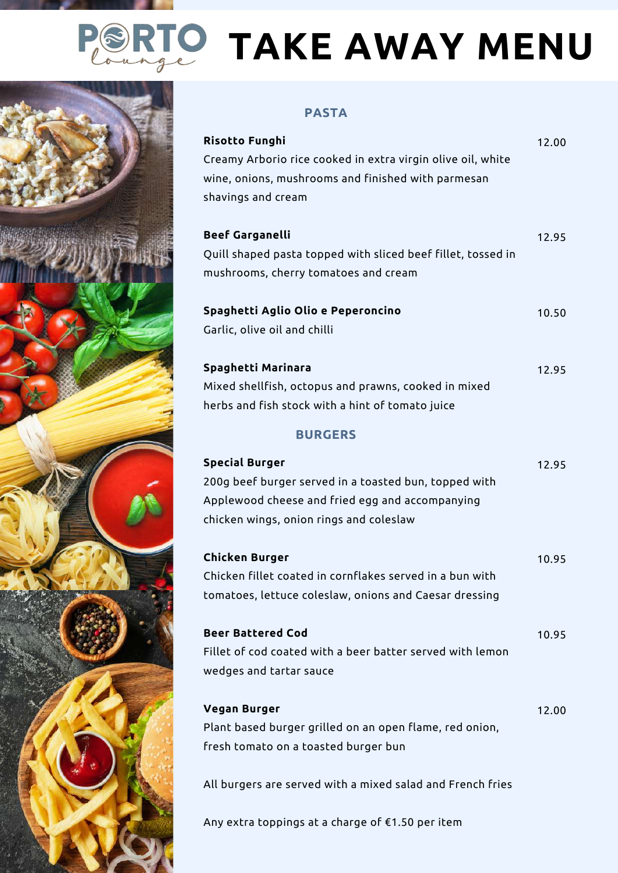## **TAKE AWAY MENU**



#### **PASTA**

| <b>Risotto Funghi</b>                                        | 12.00 |
|--------------------------------------------------------------|-------|
| Creamy Arborio rice cooked in extra virgin olive oil, white  |       |
| wine, onions, mushrooms and finished with parmesan           |       |
| shavings and cream                                           |       |
| <b>Beef Garganelli</b>                                       | 12.95 |
| Quill shaped pasta topped with sliced beef fillet, tossed in |       |
| mushrooms, cherry tomatoes and cream                         |       |
| Spaghetti Aglio Olio e Peperoncino                           | 10.50 |
| Garlic, olive oil and chilli                                 |       |
| Spaghetti Marinara                                           | 12.95 |
| Mixed shellfish, octopus and prawns, cooked in mixed         |       |
| herbs and fish stock with a hint of tomato juice             |       |
| <b>BURGERS</b>                                               |       |
| <b>Special Burger</b>                                        | 12.95 |
| 200g beef burger served in a toasted bun, topped with        |       |
| Applewood cheese and fried egg and accompanying              |       |
| chicken wings, onion rings and coleslaw                      |       |
| Chicken Burger                                               | 10.95 |
| Chicken fillet coated in cornflakes served in a bun with     |       |
| tomatoes, lettuce coleslaw, onions and Caesar dressing       |       |
| <b>Beer Battered Cod</b>                                     | 10.95 |
| Fillet of cod coated with a beer batter served with lemon    |       |
| wedges and tartar sauce                                      |       |
| Vegan Burger                                                 | 12.00 |
| Plant based burger grilled on an open flame, red onion,      |       |
| fresh tomato on a toasted burger bun                         |       |
| All burgers are served with a mixed salad and French fries   |       |
|                                                              |       |

Any extra toppings at a charge of €1.50 per item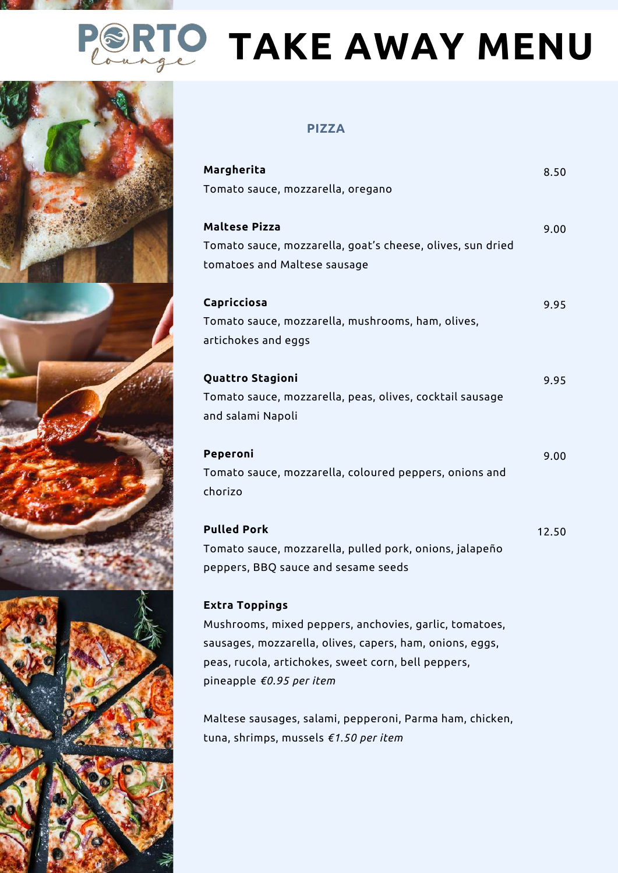### **TAKE AWAY MENU**E



#### **PIZZA**

| Margherita                                                 | 8.50  |
|------------------------------------------------------------|-------|
| Tomato sauce, mozzarella, oregano                          |       |
| <b>Maltese Pizza</b>                                       | 9.00  |
| Tomato sauce, mozzarella, goat's cheese, olives, sun dried |       |
| tomatoes and Maltese sausage                               |       |
| Capricciosa                                                | 9.95  |
| Tomato sauce, mozzarella, mushrooms, ham, olives,          |       |
| artichokes and eggs                                        |       |
| Quattro Stagioni                                           | 9.95  |
| Tomato sauce, mozzarella, peas, olives, cocktail sausage   |       |
| and salami Napoli                                          |       |
| Peperoni                                                   | 9.00  |
| Tomato sauce, mozzarella, coloured peppers, onions and     |       |
| chorizo                                                    |       |
| <b>Pulled Pork</b>                                         | 12.50 |
| Tomato sauce, mozzarella, pulled pork, onions, jalapeño    |       |
| peppers, BBQ sauce and sesame seeds                        |       |
| <b>Extra Toppings</b>                                      |       |
| Mushrooms, mixed peppers, anchovies, garlic, tomatoes,     |       |
| sausages, mozzarella, olives, capers, ham, onions, eggs,   |       |
| peas, rucola, artichokes, sweet corn, bell peppers,        |       |
| pineapple $\epsilon$ 0.95 per item                         |       |

Maltese sausages, salami, pepperoni, Parma ham, chicken, tuna, shrimps, mussels *€1.50 per item*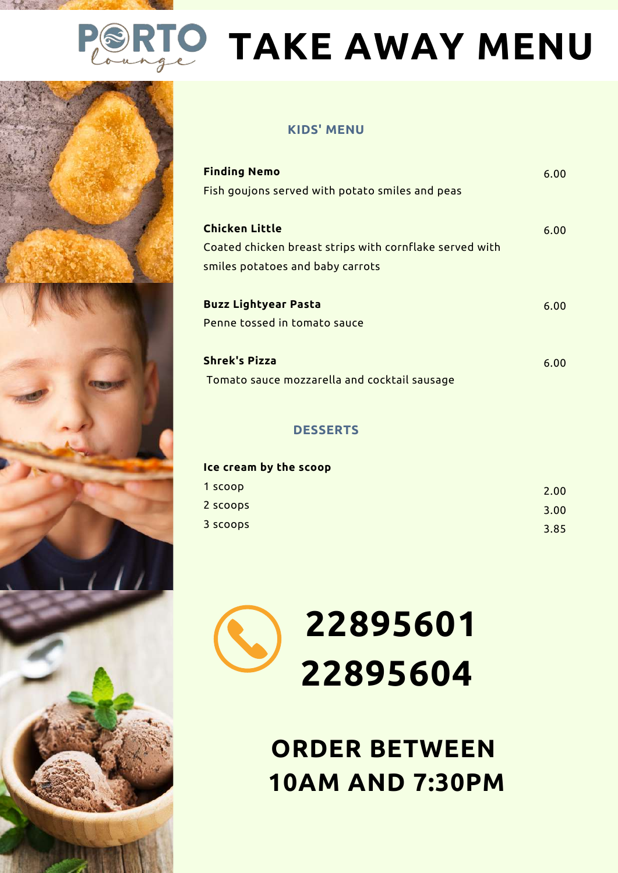## **TAKE AWAY MENU**



#### **KIDS' MENU**

| <b>Finding Nemo</b><br>Fish goujons served with potato smiles and peas                                        | 6.00 |
|---------------------------------------------------------------------------------------------------------------|------|
| Chicken Little<br>Coated chicken breast strips with cornflake served with<br>smiles potatoes and baby carrots | 6.00 |
| <b>Buzz Lightyear Pasta</b><br>Penne tossed in tomato sauce                                                   | 6.00 |
| <b>Shrek's Pizza</b><br>Tomato sauce mozzarella and cocktail sausage                                          | 6.00 |

#### **DESSERTS**

| Ice cream by the scoop |      |
|------------------------|------|
| 1 scoop                | 2.00 |
| 2 scoops               | 3.00 |
| 3 scoops               | 3.85 |



**ORDER BETWEEN 10AM AND 7:30PM**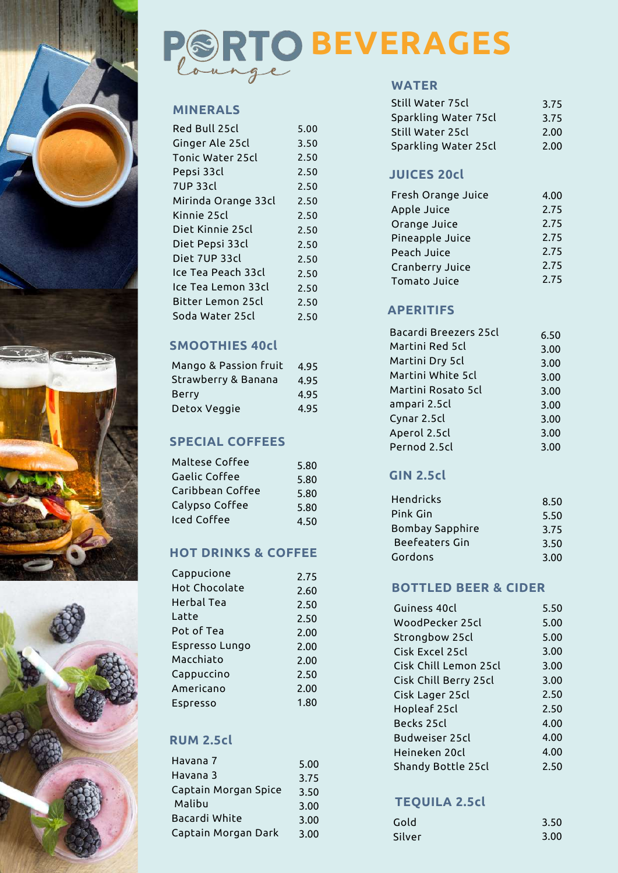



# **BEVERAGES**

#### **MINERALS**

| Red Bull 25cl           | 5.00 |
|-------------------------|------|
| Ginger Ale 25cl         | 3.50 |
| <b>Tonic Water 25cl</b> | 2.50 |
| Pepsi 33cl              | 2.50 |
| <b>7UP 33cl</b>         | 2.50 |
| Mirinda Orange 33cl     | 2.50 |
| Kinnie 25cl             | 2.50 |
| Diet Kinnie 25cl        | 2.50 |
| Diet Pepsi 33cl         | 2.50 |
| Diet 7UP 33cl           | 2.50 |
| Ice Tea Peach 33cl      | 2.50 |
| Ice Tea Lemon 33cl      | 2.50 |
| Bitter Lemon 25cl       | 2.50 |
| Soda Water 25cl         | 2.50 |

#### **SMOOTHIES 40cl**

| Mango & Passion fruit | 4.95 |
|-----------------------|------|
| Strawberry & Banana   | 4.95 |
| <b>Berry</b>          | 4.95 |
| Detox Veggie          | 4.95 |

#### **SPECIAL COFFEES**

| Maltese Coffee   | 5.80 |
|------------------|------|
| Gaelic Coffee    | 5.80 |
| Caribbean Coffee | 5.80 |
| Calypso Coffee   | 5.80 |
| Iced Coffee      | 4.50 |

#### **HOT DRINKS & COFFEE**

| Cappucione           | 2.75 |
|----------------------|------|
| <b>Hot Chocolate</b> | 2.60 |
| Herbal Tea           | 2.50 |
| Latte                | 2.50 |
| Pot of Tea           | 2.00 |
| Espresso Lungo       | 2.00 |
| Macchiato            | 2.00 |
| Cappuccino           | 2.50 |
| Americano            | 2.00 |
| Espresso             | 1.80 |
|                      |      |

#### **RUM 2.5cl**

| Havana 7             | 5.00 |
|----------------------|------|
| Havana 3             | 3.75 |
| Captain Morgan Spice | 3.50 |
| Malibu               | 3.00 |
| Bacardi White        | 3.00 |
| Captain Morgan Dark  | 3.00 |
|                      |      |

#### **WATER**

| Still Water 75cl     | 3.75 |
|----------------------|------|
| Sparkling Water 75cl | 3.75 |
| Still Water 25cl     | 2.00 |
| Sparkling Water 25cl | 2.00 |

#### **JUICES 20cl**

| Fresh Orange Juice  | 4.00 |
|---------------------|------|
| Apple Juice         | 2.75 |
| Orange Juice        | 2.75 |
| Pineapple Juice     | 2.75 |
| Peach Juice         | 2.75 |
| Cranberry Juice     | 2.75 |
| <b>Tomato Juice</b> | 2.75 |

#### **APERITIFS**

| Bacardi Breezers 25cl | 6.50 |
|-----------------------|------|
| Martini Red 5cl       | 3.00 |
| Martini Dry 5cl       | 3.00 |
| Martini White 5cl     | 3.00 |
| Martini Rosato 5cl    | 3.00 |
| ampari 2.5cl          | 3.00 |
| Cynar 2.5cl           | 3.00 |
| Aperol 2.5cl          | 3.00 |
| Pernod 2.5cl          | 3.00 |

#### **GIN 2.5cl**

| 8.50 |
|------|
| 5.50 |
| 3.75 |
| 3.50 |
| 3.00 |
|      |

#### **BOTTLED BEER & CIDER**

| 2.50 | Guiness 40cl          | 5.50 |
|------|-----------------------|------|
| 2.50 | WoodPecker 25cl       | 5.00 |
| 2.00 | Strongbow 25cl        | 5.00 |
| 2.00 | Cisk Excel 25cl       | 3.00 |
| 2.00 | Cisk Chill Lemon 25cl | 3.00 |
| 2.50 | Cisk Chill Berry 25cl | 3.00 |
| 2.00 |                       | 2.50 |
| 1.80 | Cisk Lager 25cl       |      |
|      | Hopleaf 25cl          | 2.50 |
|      | Becks 25cl            | 4.00 |
|      | <b>Budweiser 25cl</b> | 4.00 |
|      | Heineken 20cl         | 4.00 |
| 5.00 | Shandy Bottle 25cl    | 2.50 |
|      |                       |      |

#### **TEQUILA 2.5cl**

| Gold   | 3.50 |
|--------|------|
| Silver | 3.00 |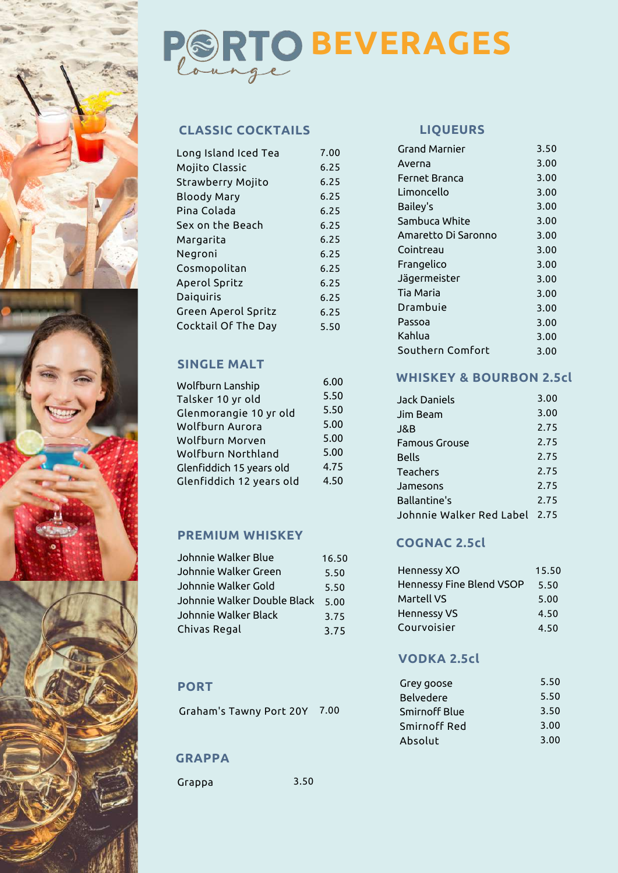



#### **CLASSIC COCKTAILS**

| Long Island Iced Tea       | 7.00 |
|----------------------------|------|
| Mojito Classic             | 6.25 |
| <b>Strawberry Mojito</b>   | 6.25 |
| <b>Bloody Mary</b>         | 6.25 |
| Pina Colada                | 6.25 |
| Sex on the Beach           | 6.25 |
| Margarita                  | 6.25 |
| Negroni                    | 6.25 |
| Cosmopolitan               | 6.25 |
| Aperol Spritz              | 6.25 |
| Daiguiris                  | 6.25 |
| <b>Green Aperol Spritz</b> | 6.25 |
| Cocktail Of The Day        | 5.50 |

#### **SINGLE MALT**

| Wolfburn Lanship         | 6.00 |
|--------------------------|------|
| Talsker 10 yr old        | 5.50 |
| Glenmorangie 10 yr old   | 5.50 |
| Wolfburn Aurora          | 5.00 |
| Wolfburn Morven          | 5.00 |
| Wolfburn Northland       | 5.00 |
| Glenfiddich 15 years old | 4.75 |
| Glenfiddich 12 years old | 4.50 |
|                          |      |

#### **PREMIUM WHISKEY**

| Johnnie Walker Blue         | 16.50 |
|-----------------------------|-------|
| Johnnie Walker Green        | 5.50  |
| Johnnie Walker Gold         | 5.50  |
| Johnnie Walker Double Black | 5.00  |
| Johnnie Walker Black        | 3.75  |
| Chivas Regal                | 3.75  |

#### **PORT**

Graham's Tawny Port 20Y 7.00

#### **GRAPPA**

Grappa 3.50

#### **LIQUEURS**

| <b>Grand Marnier</b> | 3.50 |
|----------------------|------|
| Averna               | 3.00 |
| Fernet Branca        | 3.00 |
| Limoncello           | 3.00 |
| Bailey's             | 3.00 |
| Sambuca White        | 3.00 |
| Amaretto Di Saronno  | 3.00 |
| Cointreau            | 3.00 |
| Frangelico           | 3.00 |
| Jägermeister         | 3.00 |
| Tia Maria            | 3.00 |
| Drambuie             | 3.00 |
| Passoa               | 3.00 |
| Kahlua               | 3.00 |
| Southern Comfort     | 3.00 |
|                      |      |

#### **WHISKEY & BOURBON 2.5cl**

| <b>Jack Daniels</b>      | 3.00 |
|--------------------------|------|
| Jim Beam                 | 3.00 |
| J&B                      | 2.75 |
| <b>Famous Grouse</b>     | 2.75 |
| <b>Bells</b>             | 2.75 |
| <b>Teachers</b>          | 2.75 |
| Jamesons                 | 2.75 |
| <b>Ballantine's</b>      | 2.75 |
| Johnnie Walker Red Label | 2.75 |

#### **COGNAC 2.5cl**

| Hennessy XO              | 15.50 |
|--------------------------|-------|
| Hennessy Fine Blend VSOP | 5.50  |
| Martell VS               | 5.00  |
| <b>Hennessy VS</b>       | 4.50  |
| Courvoisier              | 4.50  |

#### **VODKA 2.5cl**

| 5.50 |
|------|
| 5.50 |
| 3.50 |
| 3.00 |
| 3.00 |
|      |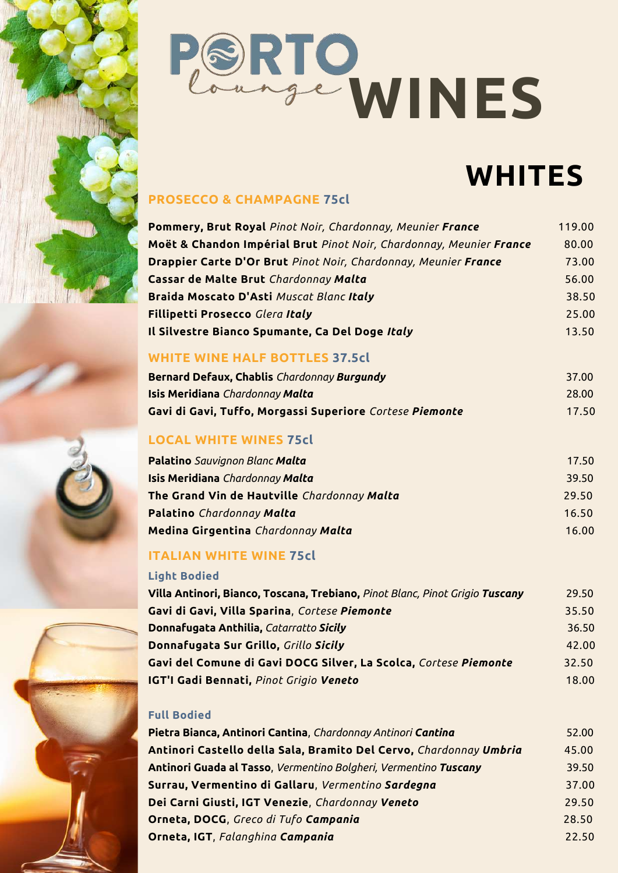



### **WHITES**

#### **PROSECCO & CHAMPAGNE 75cl**

| Pommery, Brut Royal Pinot Noir, Chardonnay, Meunier France                   | 119.00 |
|------------------------------------------------------------------------------|--------|
| Moët & Chandon Impérial Brut Pinot Noir, Chardonnay, Meunier France          | 80.00  |
| Drappier Carte D'Or Brut Pinot Noir, Chardonnay, Meunier France              | 73.00  |
| Cassar de Malte Brut Chardonnay Malta                                        | 56.00  |
| Braida Moscato D'Asti Muscat Blanc Italy                                     | 38.50  |
| Fillipetti Prosecco Glera Italy                                              | 25.00  |
| Il Silvestre Bianco Spumante, Ca Del Doge Italy                              | 13.50  |
| <b>WHITE WINE HALF BOTTLES 37.5cl</b>                                        |        |
| Bernard Defaux, Chablis Chardonnay Burgundy                                  | 37.00  |
| Isis Meridiana Chardonnay Malta                                              | 28.00  |
| Gavi di Gavi, Tuffo, Morgassi Superiore Cortese Piemonte                     | 17.50  |
| <b>LOCAL WHITE WINES 75cl</b>                                                |        |
| Palatino Sauvignon Blanc Malta                                               | 17.50  |
| <b>Isis Meridiana</b> Chardonnay Malta                                       | 39.50  |
| The Grand Vin de Hautville Chardonnay Malta                                  | 29.50  |
| Palatino Chardonnay Malta                                                    | 16.50  |
| Medina Girgentina Chardonnay Malta                                           | 16.00  |
| <b>ITALIAN WHITE WINE 75cl</b>                                               |        |
| <b>Light Bodied</b>                                                          |        |
| Villa Antinori, Bianco, Toscana, Trebiano, Pinot Blanc, Pinot Grigio Tuscany | 29.50  |
| Gavi di Gavi, Villa Sparina, Cortese Piemonte                                | 35.50  |
| Donnafugata Anthilia, Catarratto Sicily                                      | 36.50  |



#### **Full Bodied**

| Pietra Bianca, Antinori Cantina, Chardonnay Antinori Cantina                | 52.00 |
|-----------------------------------------------------------------------------|-------|
| Antinori Castello della Sala, Bramito Del Cervo, Chardonnay Umbria<br>45.00 |       |
| Antinori Guada al Tasso, Vermentino Bolgheri, Vermentino Tuscany            | 39.50 |
| Surrau, Vermentino di Gallaru, Vermentino Sardegna                          | 37.00 |
| Dei Carni Giusti, IGT Venezie, Chardonnay Veneto<br>29.50                   |       |
| Orneta, DOCG, Greco di Tufo Campania<br>28.50                               |       |
| Orneta, IGT, Falanghina Campania<br>22.50                                   |       |

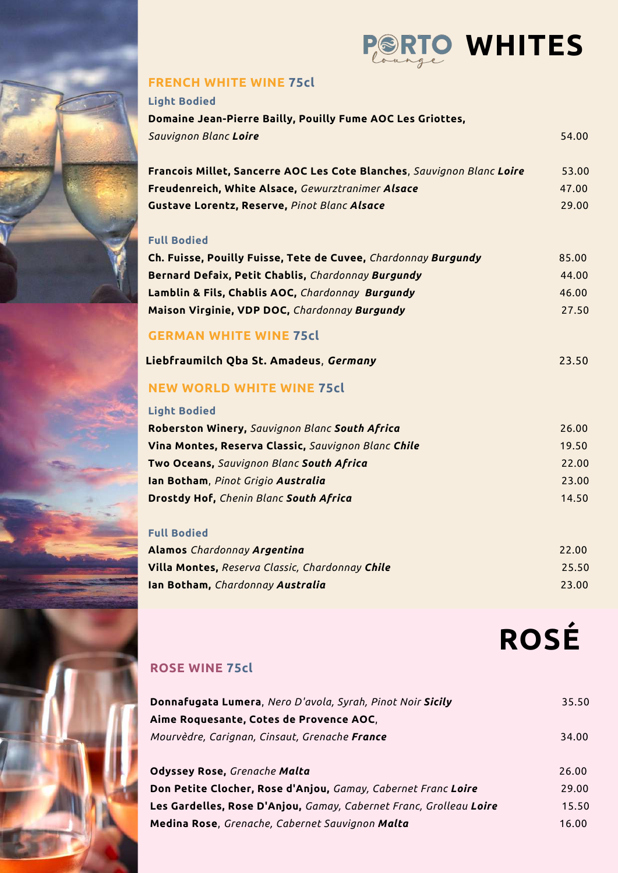

#### **FRENCH WHITE WINE 75cl**

| <b>Light Bodied</b>                                                    |             |
|------------------------------------------------------------------------|-------------|
| Domaine Jean-Pierre Bailly, Pouilly Fume AOC Les Griottes,             |             |
| Sauvignon Blanc Loire                                                  | 54.00       |
| Francois Millet, Sancerre AOC Les Cote Blanches, Sauvignon Blanc Loire | 53.00       |
| Freudenreich, White Alsace, Gewurztranimer Alsace                      | 47.00       |
| Gustave Lorentz, Reserve, Pinot Blanc Alsace                           | 29.00       |
| <b>Full Bodied</b>                                                     |             |
| Ch. Fuisse, Pouilly Fuisse, Tete de Cuvee, Chardonnay Burgundy         | 85.00       |
| Bernard Defaix, Petit Chablis, Chardonnay Burgundy                     | 44.00       |
| Lamblin & Fils, Chablis AOC, Chardonnay Burgundy                       | 46.00       |
| Maison Virginie, VDP DOC, Chardonnay Burgundy                          | 27.50       |
| <b>GERMAN WHITE WINE 75cl</b>                                          |             |
| Liebfraumilch Qba St. Amadeus, Germany                                 | 23.50       |
| <b>NEW WORLD WHITE WINE 75cl</b>                                       |             |
| <b>Light Bodied</b>                                                    |             |
| Roberston Winery, Sauvignon Blanc South Africa                         | 26.00       |
| Vina Montes, Reserva Classic, Sauvignon Blanc Chile                    | 19.50       |
| Two Oceans, Sauvignon Blanc South Africa                               | 22.00       |
| Ian Botham, Pinot Grigio Australia                                     | 23.00       |
| Drostdy Hof, Chenin Blanc South Africa                                 | 14.50       |
| <b>Full Bodied</b>                                                     |             |
| Alamos Chardonnay Argentina                                            | 22.00       |
| Villa Montes, Reserva Classic, Chardonnay Chile                        | 25.50       |
| Ian Botham, Chardonnay Australia                                       | 23.00       |
|                                                                        |             |
|                                                                        | <b>ROSÉ</b> |
| <b>ROSE WINE 75cl</b>                                                  |             |
| Donnafugata Lumera, Nero D'avola, Syrah, Pinot Noir Sicily             | 35.50       |
| Aime Roquesante, Cotes de Provence AOC,                                |             |
| Mourvèdre, Carignan, Cinsaut, Grenache France                          | 34.00       |
| Odyssey Rose, Grenache Malta                                           | 26.00       |
| Don Petite Clocher, Rose d'Anjou, Gamay, Cabernet Franc Loire          | 29.00       |
| Les Gardelles, Rose D'Anjou, Gamay, Cabernet Franc, Grolleau Loire     | 15.50       |

**Medina Rose**, *Grenache, Cabernet Sauvignon Malta* 16.00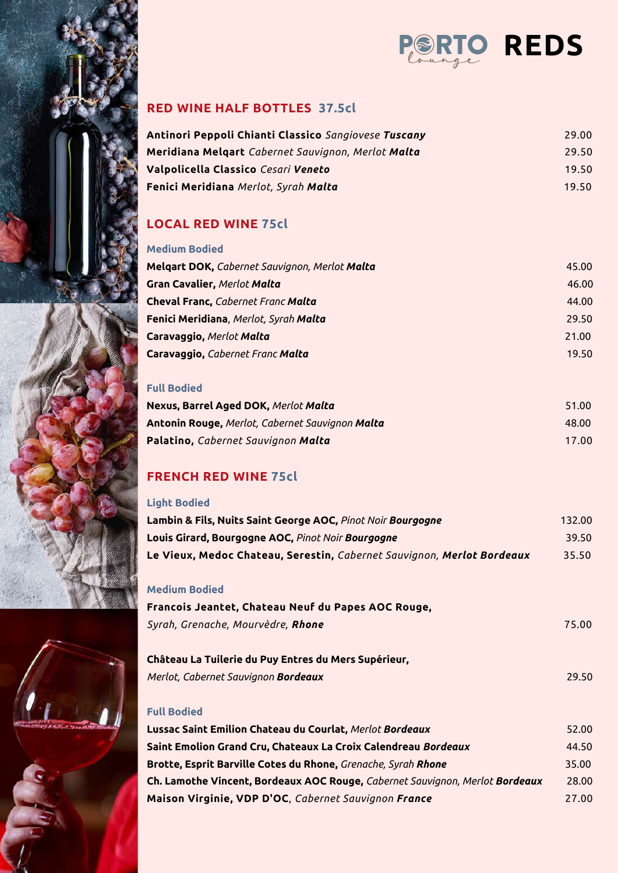

#### **RED WINE HALF BOTTLES 37.5cl**

| Antinori Peppoli Chianti Classico Sangiovese Tuscany | 29.00 |
|------------------------------------------------------|-------|
| Meridiana Melgart Cabernet Sauvignon, Merlot Malta   | 29.50 |
| Valpolicella Classico Cesari Veneto                  | 19.50 |
| Fenici Meridiana Merlot, Syrah Malta                 | 19.50 |

#### **LOCAL RED WINE 75cl**

| <b>Medium Bodied</b>                          |       |
|-----------------------------------------------|-------|
| Melgart DOK, Cabernet Sauvignon, Merlot Malta | 45.00 |
| <b>Gran Cavalier, Merlot Malta</b>            | 46.00 |
| <b>Cheval Franc, Cabernet Franc Malta</b>     | 44.00 |
| Fenici Meridiana, Merlot, Syrah Malta         | 29.50 |
| Caravaggio, Merlot Malta                      | 21.00 |
| Caravaggio, Cabernet Franc Malta              | 19.50 |

#### **Full Bodied**

| Nexus, Barrel Aged DOK, Merlot Malta            | 51.00 |
|-------------------------------------------------|-------|
| Antonin Rouge, Merlot, Cabernet Sauvignon Malta | 48.00 |
| Palatino, Cabernet Sauvignon Malta              | 17.00 |

#### **FRENCH RED WINE 75cl**

#### **Light Bodied**

| <b>LIAIIC DANICA</b>                                                   |        |
|------------------------------------------------------------------------|--------|
| Lambin & Fils, Nuits Saint George AOC, Pinot Noir Bourgogne            | 132.00 |
| Louis Girard, Bourgogne AOC, Pinot Noir Bourgogne                      | 39.50  |
| Le Vieux, Medoc Chateau, Serestin, Cabernet Sauvignon, Merlot Bordeaux | 35.50  |
|                                                                        |        |
| <b>Medium Bodied</b>                                                   |        |
| Francois Jeantet, Chateau Neuf du Papes AOC Rouge,                     |        |
| Syrah, Grenache, Mourvèdre, <b>Rhone</b>                               | 75.00  |
|                                                                        |        |
| Château La Tuilerie du Puy Entres du Mers Supérieur,                   |        |
| Merlot, Cabernet Sauvignon <b>Bordeaux</b>                             | 29.50  |
|                                                                        |        |
| Easth Bro-Albert                                                       |        |

#### **Full Bodied**

| Lussac Saint Emilion Chateau du Courlat, Merlot Bordeaux                     | 52.00 |
|------------------------------------------------------------------------------|-------|
| Saint Emolion Grand Cru, Chateaux La Croix Calendreau Bordeaux               | 44.50 |
| Brotte, Esprit Barville Cotes du Rhone, Grenache, Syrah Rhone                | 35.00 |
| Ch. Lamothe Vincent, Bordeaux AOC Rouge, Cabernet Sauvignon, Merlot Bordeaux | 28.00 |
| Maison Virginie, VDP D'OC, Cabernet Sauvignon France                         | 27.00 |